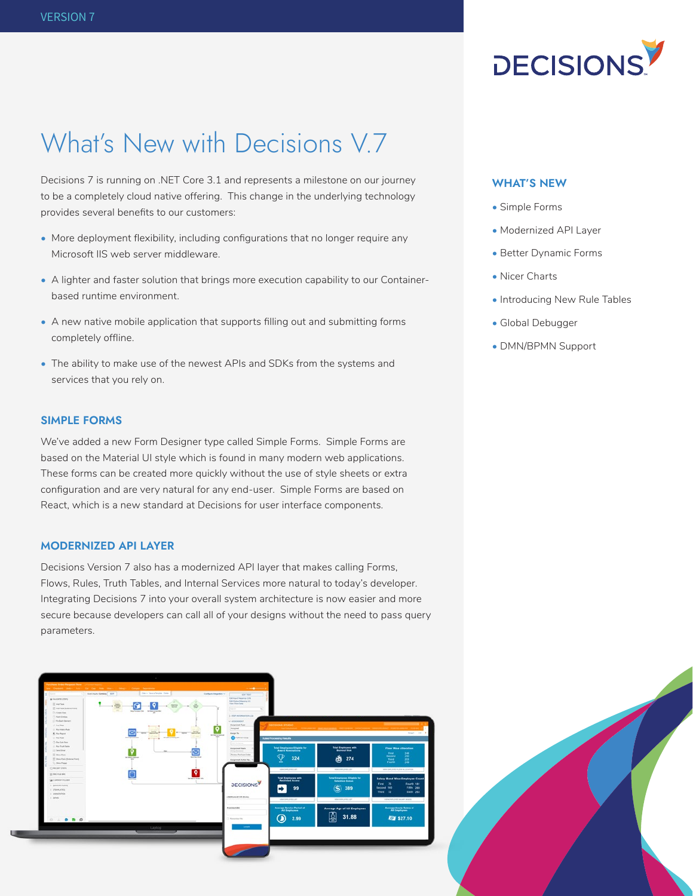

# What's New with Decisions V.7

Decisions 7 is running on .NET Core 3.1 and represents a milestone on our journey to be a completely cloud native offering. This change in the underlying technology provides several benefits to our customers:

- More deployment flexibility, including configurations that no longer require any Microsoft IIS web server middleware.
- A lighter and faster solution that brings more execution capability to our Containerbased runtime environment.
- A new native mobile application that supports filling out and submitting forms completely offline.
- The ability to make use of the newest APIs and SDKs from the systems and services that you rely on.

# **SIMPLE FORMS**

We've added a new Form Designer type called Simple Forms. Simple Forms are based on the Material UI style which is found in many modern web applications. These forms can be created more quickly without the use of style sheets or extra configuration and are very natural for any end-user. Simple Forms are based on React, which is a new standard at Decisions for user interface components.

# **MODERNIZED API LAYER**

Decisions Version 7 also has a modernized API layer that makes calling Forms, Flows, Rules, Truth Tables, and Internal Services more natural to today's developer. Integrating Decisions 7 into your overall system architecture is now easier and more secure because developers can call all of your designs without the need to pass query parameters.



#### **WHAT'S NEW**

- Simple Forms
- Modernized API Layer
- Better Dynamic Forms
- Nicer Charts
- Introducing New Rule Tables
- Global Debugger
- DMN/BPMN Support